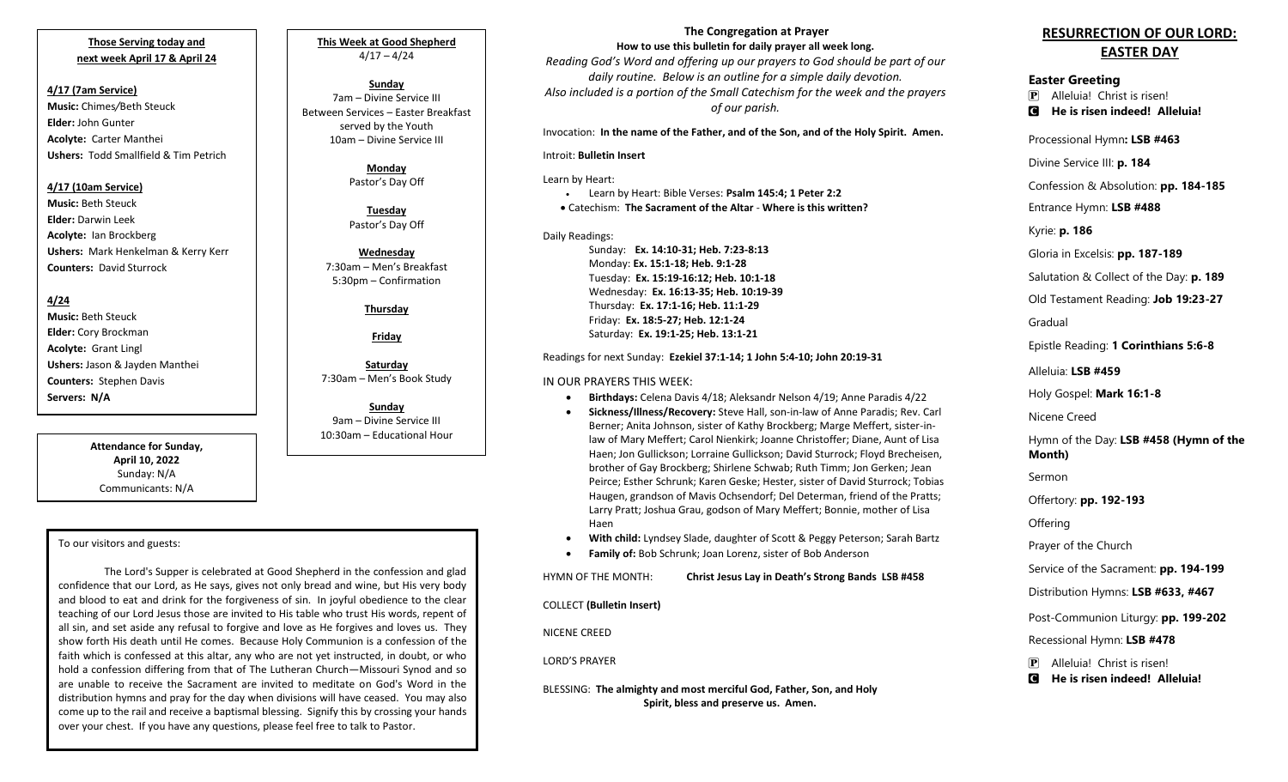## **Those Serving today and next week April 17 & April 24**

**4/17 (7am Service) Music:** Chimes*/*Beth Steuck **Elder:** John Gunter **Acolyte:** Carter Manthei **Ushers:** Todd Smallfield & Tim Petrich

#### **4/17 (10am Service)**

**Music:** Beth Steuck **Elder:** Darwin Leek **Acolyte:** Ian Brockberg **Ushers:** Mark Henkelman & Kerry Kerr **Counters:** David Sturrock

### **4/24**

**Music:** Beth Steuck **Elder:** Cory Brockman **Acolyte:** Grant Lingl **Ushers:** Jason & Jayden Manthei **Counters:** Stephen Davis **Servers: N/A**

> **Attendance for Sunday, April 10, 2022** Sunday: N/A Communicants: N/A

# To our visitors and guests:

The Lord's Supper is celebrated at Good Shepherd in the confession and glad confidence that our Lord, as He says, gives not only bread and wine, but His very body and blood to eat and drink for the forgiveness of sin. In joyful obedience to the clear teaching of our Lord Jesus those are invited to His table who trust His words, repent of all sin, and set aside any refusal to forgive and love as He forgives and loves us. They show forth His death until He comes. Because Holy Communion is a confession of the faith which is confessed at this altar, any who are not yet instructed, in doubt, or who hold a confession differing from that of The Lutheran Church—Missouri Synod and so are unable to receive the Sacrament are invited to meditate on God's Word in the distribution hymns and pray for the day when divisions will have ceased. You may also come up to the rail and receive a baptismal blessing. Signify this by crossing your hands over your chest. If you have any questions, please feel free to talk to Pastor.

# **This Week at Good Shepherd**  $4/17 - 4/24$

**Sunday** 7am – Divine Service III Between Services – Easter Breakfast served by the Youth 10am – Divine Service III

> **Monday** Pastor's Day Off

**Tuesday** Pastor's Day Off

**Wednesday** 7:30am – Men's Breakfast 5:30pm – Confirmation

**Thursday**

**Friday**

**Saturday** 7:30am – Men's Book Study

**Sunday**  9am – Divine Service III 10:30am – Educational Hour

#### **The Congregation at Prayer How to use this bulletin for daily prayer all week long.**

*Reading God's Word and offering up our prayers to God should be part of our daily routine. Below is an outline for a simple daily devotion. Also included is a portion of the Small Catechism for the week and the prayers of our parish.*

Invocation: **In the name of the Father, and of the Son, and of the Holy Spirit. Amen.**

#### Introit: **Bulletin Insert**

Learn by Heart:

• Learn by Heart: Bible Verses: **Psalm 145:4; 1 Peter 2:2** • Catechism: **The Sacrament of the Altar** - **Where is this written?**

#### Daily Readings:

Sunday: **Ex. 14:10-31; Heb. 7:23-8:13** Monday: **Ex. 15:1-18; Heb. 9:1-28** Tuesday: **Ex. 15:19-16:12; Heb. 10:1-18** Wednesday: **Ex. 16:13-35; Heb. 10:19-39** Thursday: **Ex. 17:1-16; Heb. 11:1-29** Friday: **Ex. 18:5-27; Heb. 12:1-24** Saturday: **Ex. 19:1-25; Heb. 13:1-21**

#### Readings for next Sunday: **Ezekiel 37:1-14; 1 John 5:4-10; John 20:19-31**

#### IN OUR PRAYERS THIS WEEK:

- **Birthdays:** Celena Davis 4/18; Aleksandr Nelson 4/19; Anne Paradis 4/22
- **Sickness/Illness/Recovery:** Steve Hall, son-in-law of Anne Paradis; Rev. Carl Berner; Anita Johnson, sister of Kathy Brockberg; Marge Meffert, sister-inlaw of Mary Meffert; Carol Nienkirk; Joanne Christoffer; Diane, Aunt of Lisa Haen; Jon Gullickson; Lorraine Gullickson; David Sturrock; Floyd Brecheisen, brother of Gay Brockberg; Shirlene Schwab; Ruth Timm; Jon Gerken; Jean Peirce; Esther Schrunk; Karen Geske; Hester, sister of David Sturrock; Tobias Haugen, grandson of Mavis Ochsendorf; Del Determan, friend of the Pratts; Larry Pratt; Joshua Grau, godson of Mary Meffert; Bonnie, mother of Lisa Haen
- **With child:** Lyndsey Slade, daughter of Scott & Peggy Peterson; Sarah Bartz
- **Family of:** Bob Schrunk; Joan Lorenz, sister of Bob Anderson

HYMN OF THE MONTH: **Christ Jesus Lay in Death's Strong Bands LSB #458**

COLLECT **(Bulletin Insert)**

NICENE CREED

#### LORD'S PRAYER

BLESSING: **The almighty and most merciful God, Father, Son, and Holy Spirit, bless and preserve us. Amen.**

# **RESURRECTION OF OUR LORD: EASTER DAY**

# **Easter Greeting**

P Alleluia! Christ is risen! C **He is risen indeed! Alleluia!**

Processional Hymn**: LSB #463**

Divine Service III: **p. 184**

Confession & Absolution: **pp. 184-185**

Entrance Hymn: **LSB #488**

Kyrie: **p. 186**

Gloria in Excelsis: **pp. 187-189**

Salutation & Collect of the Day: **p. 189**

Old Testament Reading: **Job 19:23-27**

Gradual

Epistle Reading: **1 Corinthians 5:6-8**

Alleluia: **LSB #459**

Holy Gospel: **Mark 16:1-8**

Nicene Creed

Hymn of the Day: **LSB #458 (Hymn of the Month)**

Sermon

Offertory: **pp. 192-193**

**Offering** 

Prayer of the Church

Service of the Sacrament: **pp. 194-199**

Distribution Hymns: **LSB #633, #467**

Post-Communion Liturgy: **pp. 199-202**

Recessional Hymn: **LSB #478**

P Alleluia! Christ is risen!

C **He is risen indeed! Alleluia!**